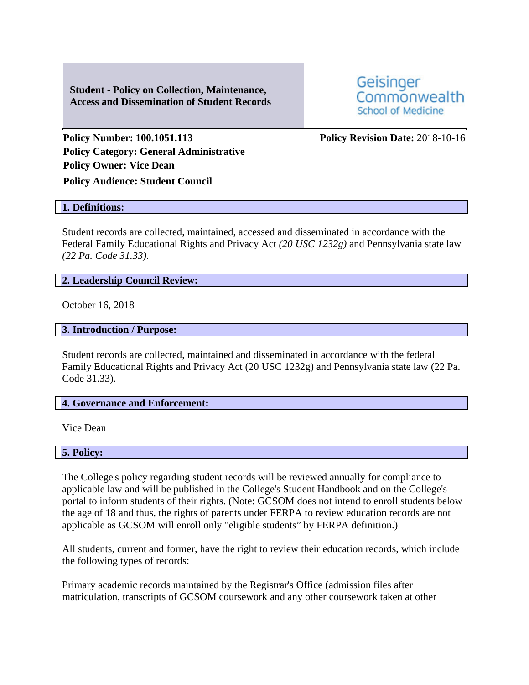**Student - Policy on Collection, Maintenance, Access and Dissemination of Student Records**



**Policy Number: 100.1051.113 Policy Revision Date:** 2018-10-16 **Policy Category: General Administrative Policy Owner: Vice Dean**

**Policy Audience: Student Council**

#### **1. Definitions:**

Student records are collected, maintained, accessed and disseminated in accordance with the Federal Family Educational Rights and Privacy Act *(20 USC 1232g)* and Pennsylvania state law *(22 Pa. Code 31.33).*

### **2. Leadership Council Review:**

October 16, 2018

## **3. Introduction / Purpose:**

Student records are collected, maintained and disseminated in accordance with the federal Family Educational Rights and Privacy Act (20 USC 1232g) and Pennsylvania state law (22 Pa. Code 31.33).

# **4. Governance and Enforcement:**

Vice Dean

**5. Policy:** 

The College's policy regarding student records will be reviewed annually for compliance to applicable law and will be published in the College's Student Handbook and on the College's portal to inform students of their rights. (Note: GCSOM does not intend to enroll students below the age of 18 and thus, the rights of parents under FERPA to review education records are not applicable as GCSOM will enroll only "eligible students" by FERPA definition.)

All students, current and former, have the right to review their education records, which include the following types of records:

Primary academic records maintained by the Registrar's Office (admission files after matriculation, transcripts of GCSOM coursework and any other coursework taken at other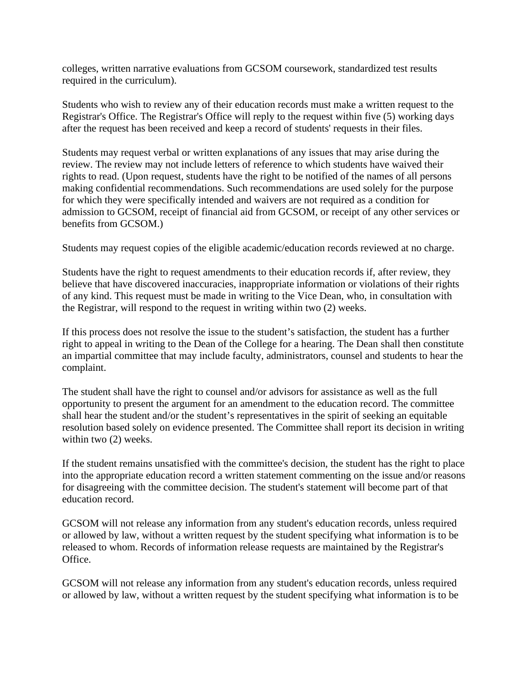colleges, written narrative evaluations from GCSOM coursework, standardized test results required in the curriculum).

Students who wish to review any of their education records must make a written request to the Registrar's Office. The Registrar's Office will reply to the request within five (5) working days after the request has been received and keep a record of students' requests in their files.

Students may request verbal or written explanations of any issues that may arise during the review. The review may not include letters of reference to which students have waived their rights to read. (Upon request, students have the right to be notified of the names of all persons making confidential recommendations. Such recommendations are used solely for the purpose for which they were specifically intended and waivers are not required as a condition for admission to GCSOM, receipt of financial aid from GCSOM, or receipt of any other services or benefits from GCSOM.)

Students may request copies of the eligible academic/education records reviewed at no charge.

Students have the right to request amendments to their education records if, after review, they believe that have discovered inaccuracies, inappropriate information or violations of their rights of any kind. This request must be made in writing to the Vice Dean, who, in consultation with the Registrar, will respond to the request in writing within two (2) weeks.

If this process does not resolve the issue to the student's satisfaction, the student has a further right to appeal in writing to the Dean of the College for a hearing. The Dean shall then constitute an impartial committee that may include faculty, administrators, counsel and students to hear the complaint.

The student shall have the right to counsel and/or advisors for assistance as well as the full opportunity to present the argument for an amendment to the education record. The committee shall hear the student and/or the student's representatives in the spirit of seeking an equitable resolution based solely on evidence presented. The Committee shall report its decision in writing within two (2) weeks.

If the student remains unsatisfied with the committee's decision, the student has the right to place into the appropriate education record a written statement commenting on the issue and/or reasons for disagreeing with the committee decision. The student's statement will become part of that education record.

GCSOM will not release any information from any student's education records, unless required or allowed by law, without a written request by the student specifying what information is to be released to whom. Records of information release requests are maintained by the Registrar's Office.

GCSOM will not release any information from any student's education records, unless required or allowed by law, without a written request by the student specifying what information is to be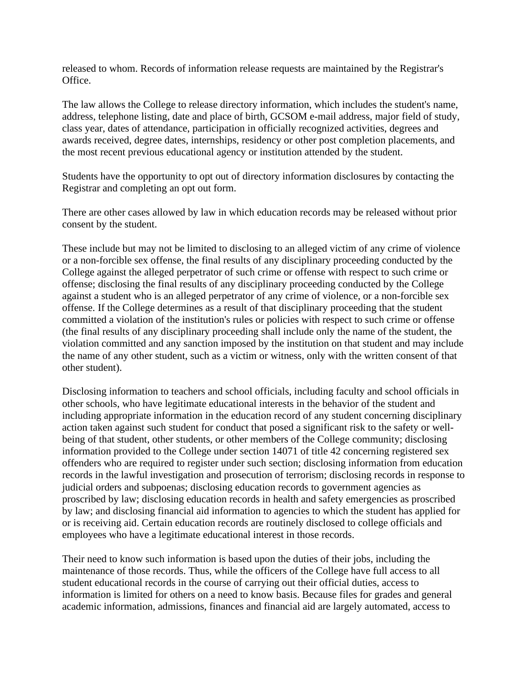released to whom. Records of information release requests are maintained by the Registrar's Office.

The law allows the College to release directory information, which includes the student's name, address, telephone listing, date and place of birth, GCSOM e-mail address, major field of study, class year, dates of attendance, participation in officially recognized activities, degrees and awards received, degree dates, internships, residency or other post completion placements, and the most recent previous educational agency or institution attended by the student.

Students have the opportunity to opt out of directory information disclosures by contacting the Registrar and completing an opt out form.

There are other cases allowed by law in which education records may be released without prior consent by the student.

These include but may not be limited to disclosing to an alleged victim of any crime of violence or a non-forcible sex offense, the final results of any disciplinary proceeding conducted by the College against the alleged perpetrator of such crime or offense with respect to such crime or offense; disclosing the final results of any disciplinary proceeding conducted by the College against a student who is an alleged perpetrator of any crime of violence, or a non-forcible sex offense. If the College determines as a result of that disciplinary proceeding that the student committed a violation of the institution's rules or policies with respect to such crime or offense (the final results of any disciplinary proceeding shall include only the name of the student, the violation committed and any sanction imposed by the institution on that student and may include the name of any other student, such as a victim or witness, only with the written consent of that other student).

Disclosing information to teachers and school officials, including faculty and school officials in other schools, who have legitimate educational interests in the behavior of the student and including appropriate information in the education record of any student concerning disciplinary action taken against such student for conduct that posed a significant risk to the safety or wellbeing of that student, other students, or other members of the College community; disclosing information provided to the College under section 14071 of title 42 concerning registered sex offenders who are required to register under such section; disclosing information from education records in the lawful investigation and prosecution of terrorism; disclosing records in response to judicial orders and subpoenas; disclosing education records to government agencies as proscribed by law; disclosing education records in health and safety emergencies as proscribed by law; and disclosing financial aid information to agencies to which the student has applied for or is receiving aid. Certain education records are routinely disclosed to college officials and employees who have a legitimate educational interest in those records.

Their need to know such information is based upon the duties of their jobs, including the maintenance of those records. Thus, while the officers of the College have full access to all student educational records in the course of carrying out their official duties, access to information is limited for others on a need to know basis. Because files for grades and general academic information, admissions, finances and financial aid are largely automated, access to